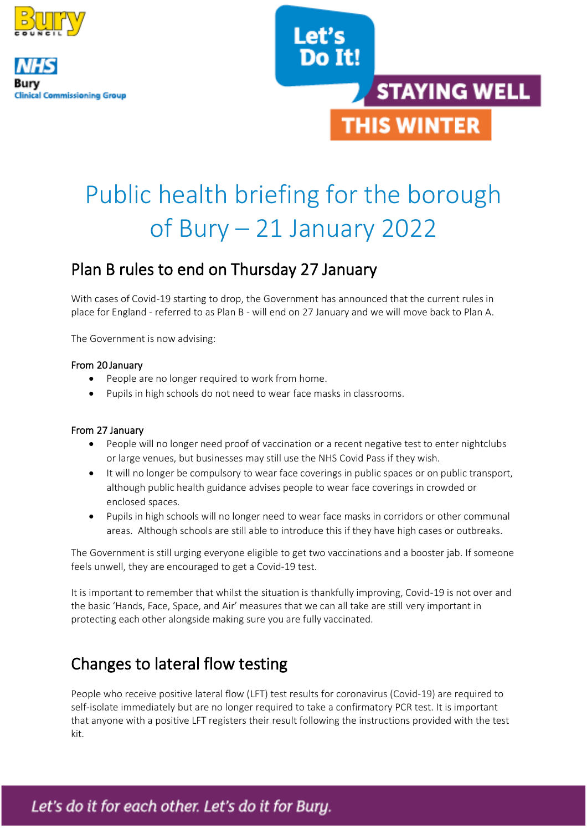





# Public health briefing for the borough of Bury – 21 January 2022

### Plan B rules to end on Thursday 27 January

With cases of Covid-19 starting to drop, the Government has announced that the current rules in place for England - referred to as Plan B - will end on 27 January and we will move back to Plan A.

The Government is now advising:

#### From 20 January

- People are no longer required to work from home.
- Pupils in high schools do not need to wear face masks in classrooms.

#### From 27 January

- People will no longer need proof of vaccination or a recent negative test to enter nightclubs or large venues, but businesses may still use the NHS Covid Pass if they wish.
- It will no longer be compulsory to wear face coverings in public spaces or on public transport, although public health guidance advises people to wear face coverings in crowded or enclosed spaces.
- Pupils in high schools will no longer need to wear face masks in corridors or other communal areas. Although schools are still able to introduce this if they have high cases or outbreaks.

The Government is still urging everyone eligible to get two vaccinations and a booster jab. If someone feels unwell, they are encouraged to get a Covid-19 test.

It is important to remember that whilst the situation is thankfully improving, Covid-19 is not over and the basic 'Hands, Face, Space, and Air' measures that we can all take are still very important in protecting each other alongside making sure you are fully vaccinated.

# Changes to lateral flow testing

People who receive positive lateral flow (LFT) test results for coronavirus (Covid-19) are required to self-isolate immediately but are no longer required to take a confirmatory PCR test. It is important that anyone with a positive LFT registers their result following the instructions provided with the test kit.

1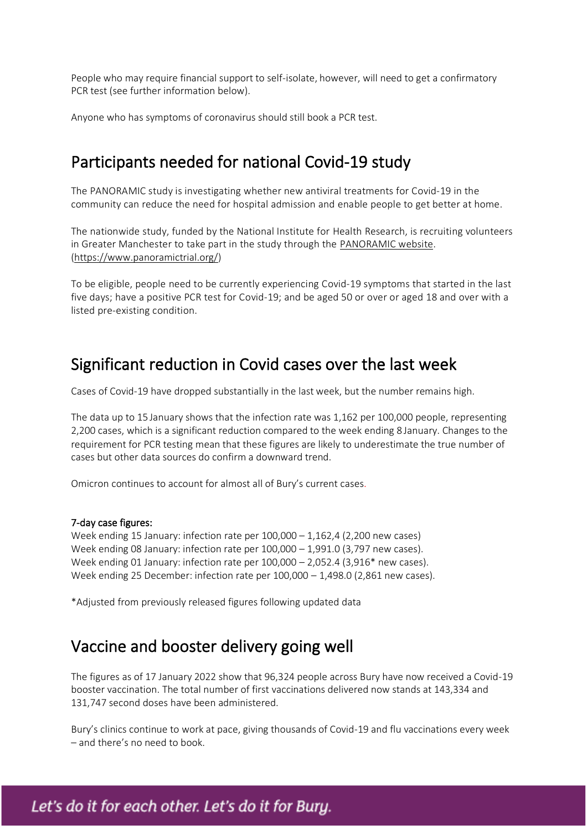People who may require financial support to self-isolate, however, will need to get a confirmatory PCR test (see further information below).

Anyone who has symptoms of coronavirus should still book a PCR test.

### Participants needed for national Covid-19 study

The PANORAMIC study is investigating whether new antiviral treatments for Covid-19 in the community can reduce the need for hospital admission and enable people to get better at home.

The nationwide study, funded by the National Institute for Health Research, is recruiting volunteers in Greater Manchester to take part in the study through the [PANORAMIC website.](https://www.panoramictrial.org/) [\(https://www.panoramictrial.org/\)](https://www.panoramictrial.org/)

To be eligible, people need to be currently experiencing Covid-19 symptoms that started in the last five days; have a positive PCR test for Covid-19; and be aged 50 or over or aged 18 and over with a listed pre-existing condition.

### Significant reduction in Covid cases over the last week

Cases of Covid-19 have dropped substantially in the last week, but the number remains high.

The data up to 15 January shows that the infection rate was 1,162 per 100,000 people, representing 2,200 cases, which is a significant reduction compared to the week ending 8 January. Changes to the requirement for PCR testing mean that these figures are likely to underestimate the true number of cases but other data sources do confirm a downward trend.

Omicron continues to account for almost all of Bury's current cases.

#### 7-day case figures:

Week ending 15 January: infection rate per 100,000 – 1,162,4 (2,200 new cases) Week ending 08 January: infection rate per 100,000 – 1,991.0 (3,797 new cases). Week ending 01 January: infection rate per 100,000 – 2,052.4 (3,916\* new cases). Week ending 25 December: infection rate per 100,000 – 1,498.0 (2,861 new cases).

\*Adjusted from previously released figures following updated data

### Vaccine and booster delivery going well

The figures as of 17 January 2022 show that 96,324 people across Bury have now received a Covid-19 booster vaccination. The total number of first vaccinations delivered now stands at 143,334 and 131,747 second doses have been administered.

Bury's clinics continue to work at pace, giving thousands of Covid-19 and flu vaccinations every week – and there's no need to book.

2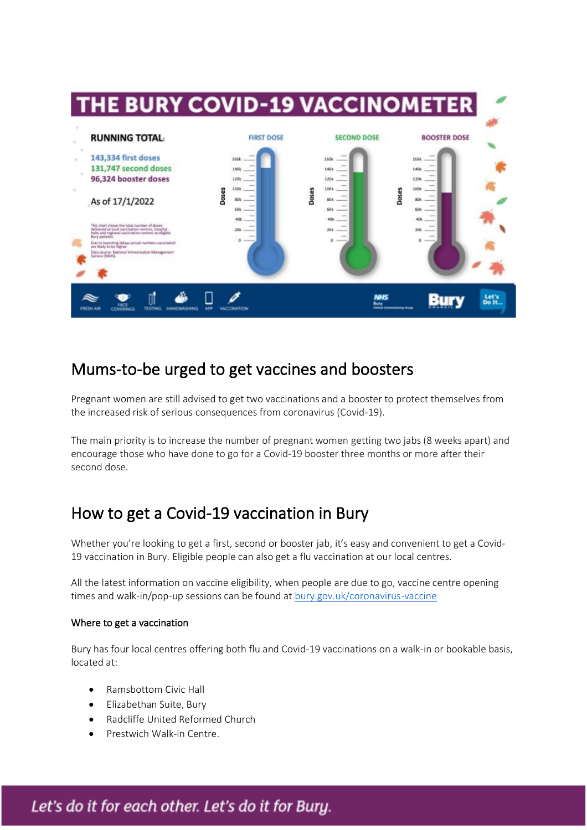

### Mums-to-be urged to get vaccines and boosters

Pregnant women are still advised to get two vaccinations and a booster to protect themselves from the increased risk of serious consequences from coronavirus (Covid-19).

The main priority is to increase the number of pregnant women getting two jabs (8 weeks apart) and encourage those who have done to go for a Covid-19 booster three months or more after their second dose.

# How to get a Covid-19 vaccination in Bury

Whether you're looking to get a first, second or booster jab, it's easy and convenient to get a Covid-19 vaccination in Bury. Eligible people can also get a flu vaccination at our local centres.

All the latest information on vaccine eligibility, when people are due to go, vaccine centre opening times and walk-in/pop-up sessions can be found a[t bury.gov.uk/coronavirus-vaccine](http://bury.gov.uk/coronavirus-vaccine)

#### Where to get a vaccination

Bury has four local centres offering both flu and Covid-19 vaccinations on a walk-in or bookable basis, located at:

3

- Ramsbottom Civic Hall
- Elizabethan Suite, Bury
- Radcliffe United Reformed Church
- Prestwich Walk-in Centre.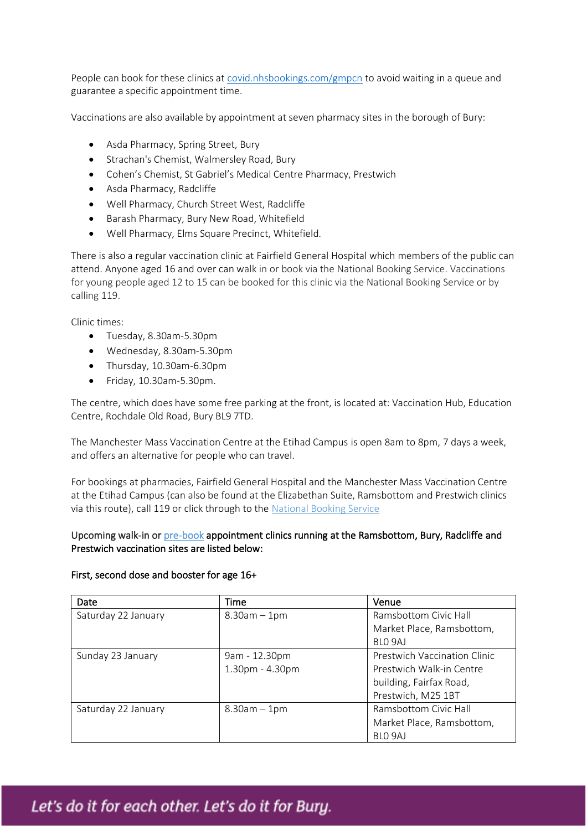People can book for these clinics at [covid.nhsbookings.com/gmpcn](http://covid.nhsbookings.com/gmpcn) to avoid waiting in a queue and guarantee a specific appointment time.

Vaccinations are also available by appointment at seven pharmacy sites in the borough of Bury:

- Asda Pharmacy, Spring Street, Bury
- Strachan's Chemist, Walmersley Road, Bury
- Cohen's Chemist, St Gabriel's Medical Centre Pharmacy, Prestwich
- Asda Pharmacy, Radcliffe
- Well Pharmacy, Church Street West, Radcliffe
- Barash Pharmacy, Bury New Road, Whitefield
- Well Pharmacy, Elms Square Precinct, Whitefield.

There is also a regular vaccination clinic at Fairfield General Hospital which members of the public can attend. Anyone aged 16 and over can walk in or book via the National Booking Service. Vaccinations for young people aged 12 to 15 can be booked for this clinic via the National Booking Service or by calling 119.

Clinic times:

- Tuesday, 8.30am-5.30pm
- Wednesday, 8.30am-5.30pm
- Thursday, 10.30am-6.30pm
- Friday, 10.30am-5.30pm.

The centre, which does have some free parking at the front, is located at: Vaccination Hub, Education Centre, Rochdale Old Road, Bury BL9 7TD.

The Manchester Mass Vaccination Centre at the Etihad Campus is open 8am to 8pm, 7 days a week, and offers an alternative for people who can travel.

For bookings at pharmacies, Fairfield General Hospital and the Manchester Mass Vaccination Centre at the Etihad Campus (can also be found at the Elizabethan Suite, Ramsbottom and Prestwich clinics via this route), call 119 or click through to the [National Booking Service](http://www.nhs.uk/conditions/coronavirus-covid-19/coronavirus-vaccination/book-coronavirus-vaccination/)

#### Upcoming walk-in or [pre-book](https://covid.nhsbookings.com/gmpcn) appointment clinics running at the Ramsbottom, Bury, Radcliffe and Prestwich vaccination sites are listed below:

#### First, second dose and booster for age 16+

| Date                | Time              | Venue                               |
|---------------------|-------------------|-------------------------------------|
| Saturday 22 January | $8.30am - 1pm$    | Ramsbottom Civic Hall               |
|                     |                   | Market Place, Ramsbottom,           |
|                     |                   | BLO 9AJ                             |
| Sunday 23 January   | 9am - 12.30pm     | <b>Prestwich Vaccination Clinic</b> |
|                     | 1.30pm - 4.30pm   | Prestwich Walk-in Centre            |
|                     |                   | building, Fairfax Road,             |
|                     |                   | Prestwich, M25 1BT                  |
| Saturday 22 January | $8.30$ am $-1$ pm | Ramsbottom Civic Hall               |
|                     |                   | Market Place, Ramsbottom,           |
|                     |                   | BLO 9AJ                             |

4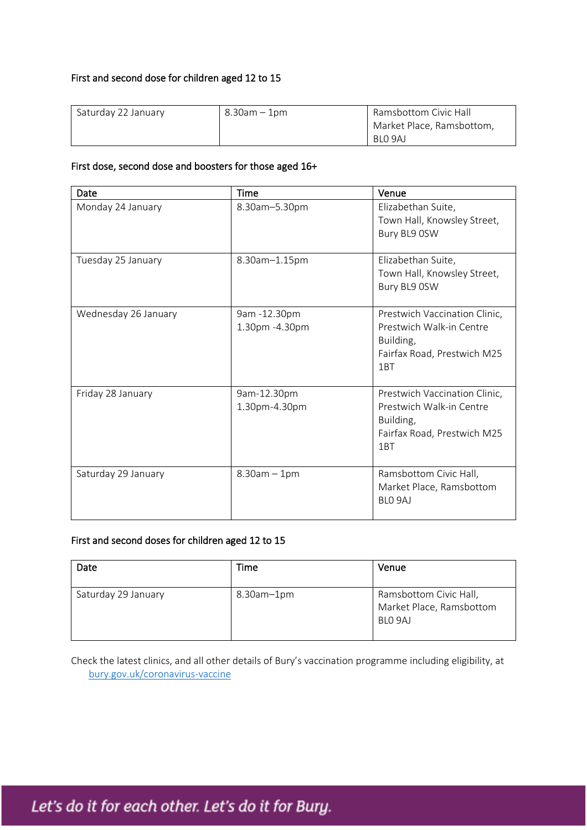#### First and second dose for children aged 12 to 15

| Saturday 22 January | $8.30$ am $-1$ pm | Ramsbottom Civic Hall     |
|---------------------|-------------------|---------------------------|
|                     |                   | Market Place, Ramsbottom, |
|                     |                   | BLO 9AJ                   |

#### First dose, second dose and boosters for those aged 16+

| Date                 | <b>Time</b>                    | Venue                                                                                                                    |
|----------------------|--------------------------------|--------------------------------------------------------------------------------------------------------------------------|
| Monday 24 January    | 8.30am-5.30pm                  | Elizabethan Suite,<br>Town Hall, Knowsley Street,<br>Bury BL9 0SW                                                        |
| Tuesday 25 January   | 8.30am-1.15pm                  | Elizabethan Suite,<br>Town Hall, Knowsley Street,<br>Bury BL9 0SW                                                        |
| Wednesday 26 January | 9am -12.30pm<br>1.30pm -4.30pm | Prestwich Vaccination Clinic,<br>Prestwich Walk-in Centre<br>Building,<br>Fairfax Road, Prestwich M25<br>1 <sub>RT</sub> |
| Friday 28 January    | 9am-12.30pm<br>1.30pm-4.30pm   | Prestwich Vaccination Clinic,<br>Prestwich Walk-in Centre<br>Building,<br>Fairfax Road, Prestwich M25<br>1BT             |
| Saturday 29 January  | $8.30am - 1pm$                 | Ramsbottom Civic Hall,<br>Market Place, Ramsbottom<br>BLO 9AJ                                                            |

#### First and second doses for children aged 12 to 15

| Date                | Time              | Venue                                                         |
|---------------------|-------------------|---------------------------------------------------------------|
| Saturday 29 January | $8.30$ am $-1$ pm | Ramsbottom Civic Hall,<br>Market Place, Ramsbottom<br>BLO 9AJ |

Check the latest clinics, and all other details of Bury's vaccination programme including eligibility, at [bury.gov.uk/coronavirus-vaccine](http://bury.gov.uk/coronavirus-vaccine)

5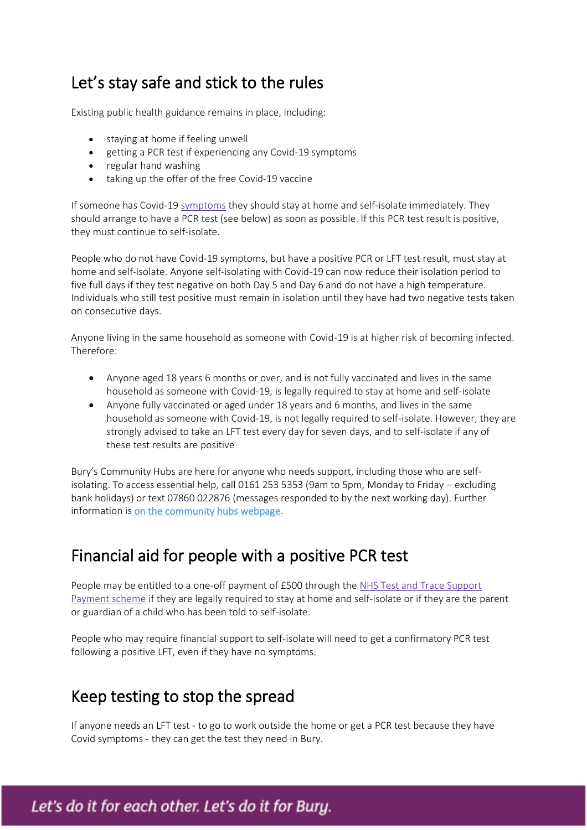# Let's stay safe and stick to the rules

Existing public health guidance remains in place, including:

- staying at home if feeling unwell
- getting a PCR test if experiencing any Covid-19 symptoms
- regular hand washing
- taking up the offer of the free Covid-19 vaccine

If someone has Covid-19 [symptoms](https://www.gov.uk/government/publications/covid-19-stay-at-home-guidance/stay-at-home-guidance-for-households-with-possible-coronavirus-covid-19-infection#symptoms) they should stay at home and self-isolate immediately. They should arrange to have a PCR test (see below) as soon as possible. If this PCR test result is positive, they must continue to self-isolate.

People who do not have Covid-19 symptoms, but have a positive PCR or LFT test result, must stay at home and self-isolate. Anyone self-isolating with Covid-19 can now reduce their isolation period to five full days if they test negative on both Day 5 and Day 6 and do not have a high temperature. Individuals who still test positive must remain in isolation until they have had two negative tests taken on consecutive days.

Anyone living in the same household as someone with Covid-19 is at higher risk of becoming infected. Therefore:

- Anyone aged 18 years 6 months or over, and is not fully vaccinated and lives in the same household as someone with Covid-19, is legally required to stay at home and self-isolate
- Anyone fully vaccinated or aged under 18 years and 6 months, and lives in the same household as someone with Covid-19, is not legally required to self-isolate. However, they are strongly advised to take an LFT test every day for seven days, and to self-isolate if any of these test results are positive

Bury's Community Hubs are here for anyone who needs support, including those who are selfisolating. To access essential help, call 0161 253 5353 (9am to 5pm, Monday to Friday – excluding bank holidays) or text 07860 022876 (messages responded to by the next working day). Further information is [on the community hubs webpage.](https://www.bury.gov.uk/index.aspx?articleid=15300)

### Financial aid for people with a positive PCR test

People may be entitled to a one-off payment of £500 through the [NHS Test and Trace Support](https://www.gov.uk/government/publications/test-and-trace-support-payment-scheme-claiming-financial-support/claiming-financial-support-under-the-test-and-trace-support-payment-scheme)  [Payment scheme](https://www.gov.uk/government/publications/test-and-trace-support-payment-scheme-claiming-financial-support/claiming-financial-support-under-the-test-and-trace-support-payment-scheme) if they are legally required to stay at home and self-isolate or if they are the parent or guardian of a child who has been told to self-isolate.

People who may require financial support to self-isolate will need to get a confirmatory PCR test following a positive LFT, even if they have no symptoms.

### Keep testing to stop the spread

If anyone needs an LFT test - to go to work outside the home or get a PCR test because they have Covid symptoms - they can get the test they need in Bury.

6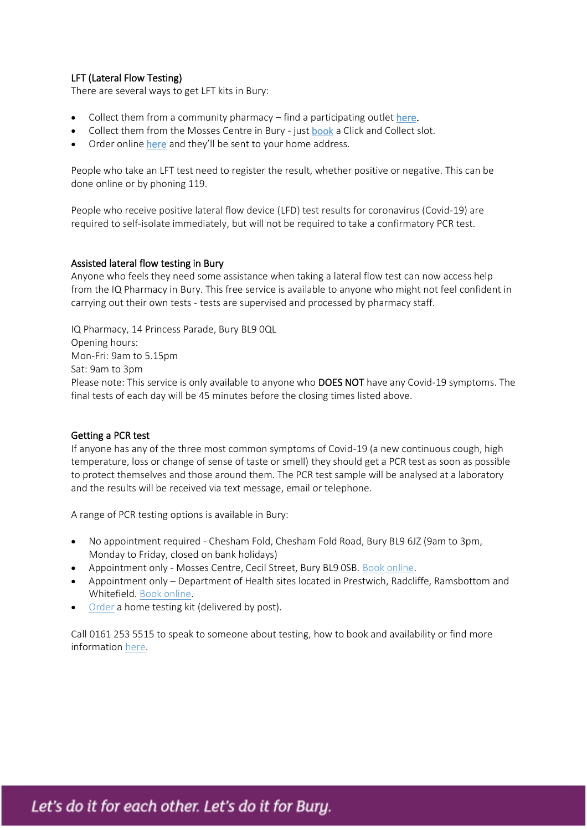#### LFT (Lateral Flow Testing)

There are several ways to get LFT kits in Bury:

- Collect them from a community pharmacy find a participating outle[t here.](https://www.nhs.uk/conditions/coronavirus-covid-19/testing/regular-rapid-coronavirus-tests-if-you-do-not-have-symptoms/)
- Collect them from the Mosses Centre in Bury just [book](https://nhsburyccg.simplybook.cc/v2/#book/location/2/count/1/provider/any/) a Click and Collect slot.
- Order onlin[e here](http://www.gov.uk/order-coronavirus-rapid-lateral-flow-tests) and they'll be sent to your home address.

People who take an LFT test need to register the result, whether positive or negative. This can be done online or by phoning 119.

People who receive positive lateral flow device (LFD) test results for coronavirus (Covid-19) are required to self-isolate immediately, but will not be required to take a confirmatory PCR test.

#### Assisted lateral flow testing in Bury

Anyone who feels they need some assistance when taking a lateral flow test can now access help from the IQ Pharmacy in Bury. This free service is available to anyone who might not feel confident in carrying out their own tests - tests are supervised and processed by pharmacy staff.

IQ Pharmacy, 14 Princess Parade, Bury BL9 0QL Opening hours: Mon-Fri: 9am to 5.15pm Sat: 9am to 3pm Please note: This service is only available to anyone who DOES NOT have any Covid-19 symptoms. The final tests of each day will be 45 minutes before the closing times listed above.

#### Getting a PCR test

If anyone has any of the three most common symptoms of Covid-19 (a new continuous cough, high temperature, loss or change of sense of taste or smell) they should get a PCR test as soon as possible to protect themselves and those around them. The PCR test sample will be analysed at a laboratory and the results will be received via text message, email or telephone.

A range of PCR testing options is available in Bury:

- No appointment required Chesham Fold, Chesham Fold Road, Bury BL9 6JZ (9am to 3pm, Monday to Friday, closed on bank holidays)
- Appointment only Mosses Centre, Cecil Street, Bury BL9 0SB. [Book online.](https://nhsburyccg.simplybook.cc/v2/#book/location/2/count/1/provider/any/)
- Appointment only Department of Health sites located in Prestwich, Radcliffe, Ramsbottom and Whitefield. [Book online.](https://www.gov.uk/get-coronavirus-test)
- [Order](https://www.gov.uk/get-coronavirus-test) a home testing kit (delivered by post).

Call 0161 253 5515 to speak to someone about testing, how to book and availability or find more information [here.](http://www.bury.gov.uk/coronavirus-testing)

7